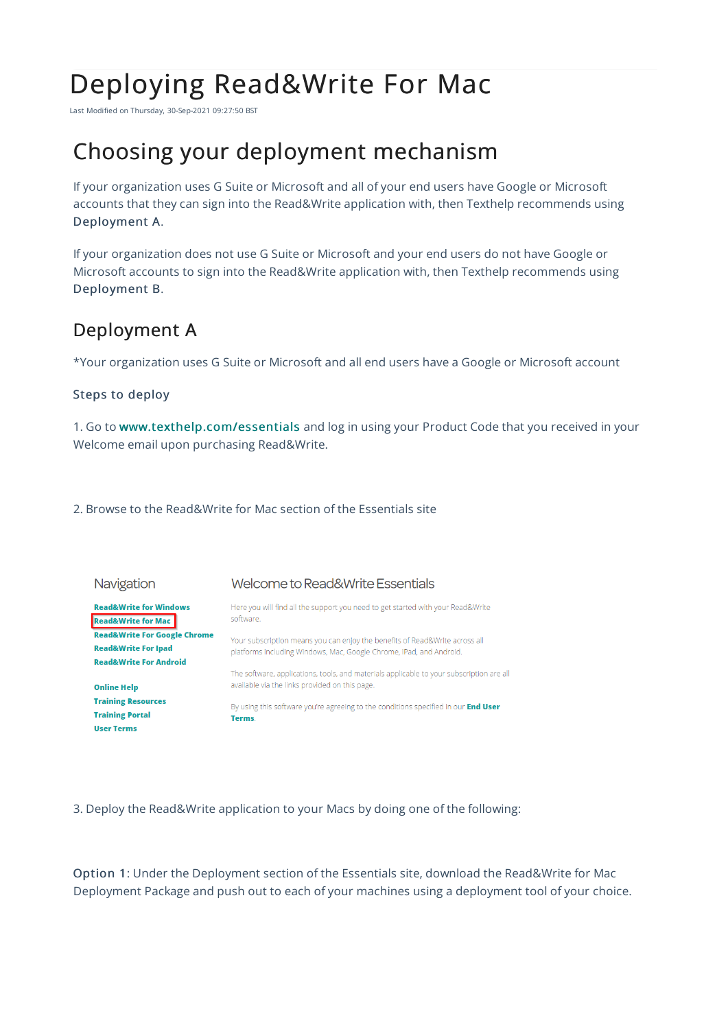# Deploying Read&Write For Mac

Last Modified on Thursday, 30-Sep-2021 09:27:50 BST

## Choosing your deployment mechanism

If your organization uses G Suite or Microsoft and all of your end users have Google or Microsoft accounts that they can sign into the Read&Write application with, then Texthelp recommends using Deployment A.

If your organization does not use G Suite or Microsoft and your end users do not have Google or Microsoft accounts to sign into the Read&Write application with, then Texthelp recommends using Deployment B.

### Deployment A

\*Your organization uses G Suite or Microsoft and all end users have a Google or Microsoft account

### Steps to deploy

1. Go to www.texthelp.com/essentials and log in using your Product Code that you received in your Welcome email upon purchasing Read&Write.

2. Browse to the Read&Write for Mac section of the Essentials site



3. Deploy the Read&Write application to your Macs by doing one of the following:

Option 1: Under the Deployment section of the Essentials site, download the Read&Write for Mac Deployment Package and push out to each of your machines using a deployment tool of your choice.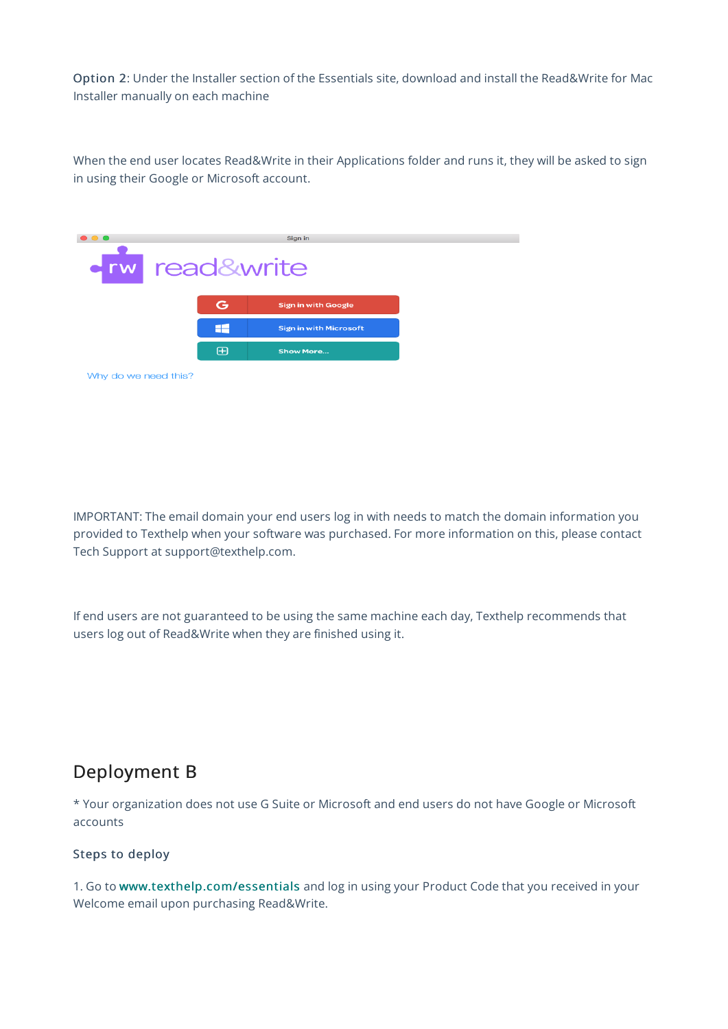Option 2: Under the Installer section of the Essentials site, download and install the Read&Write for Mac Installer manually on each machine

When the end user locates Read&Write in their Applications folder and runs it, they will be asked to sign in using their Google or Microsoft account.



IMPORTANT: The email domain your end users log in with needs to match the domain information you provided to Texthelp when your software was purchased. For more information on this, please contact Tech Support at support@texthelp.com.

If end users are not guaranteed to be using the same machine each day, Texthelp recommends that users log out of Read&Write when they are finished using it.

### Deployment B

\* Your organization does not use G Suite or Microsoft and end users do not have Google or Microsoft accounts

### Steps to deploy

1. Go to www.texthelp.com/essentials and log in using your Product Code that you received in your Welcome email upon purchasing Read&Write.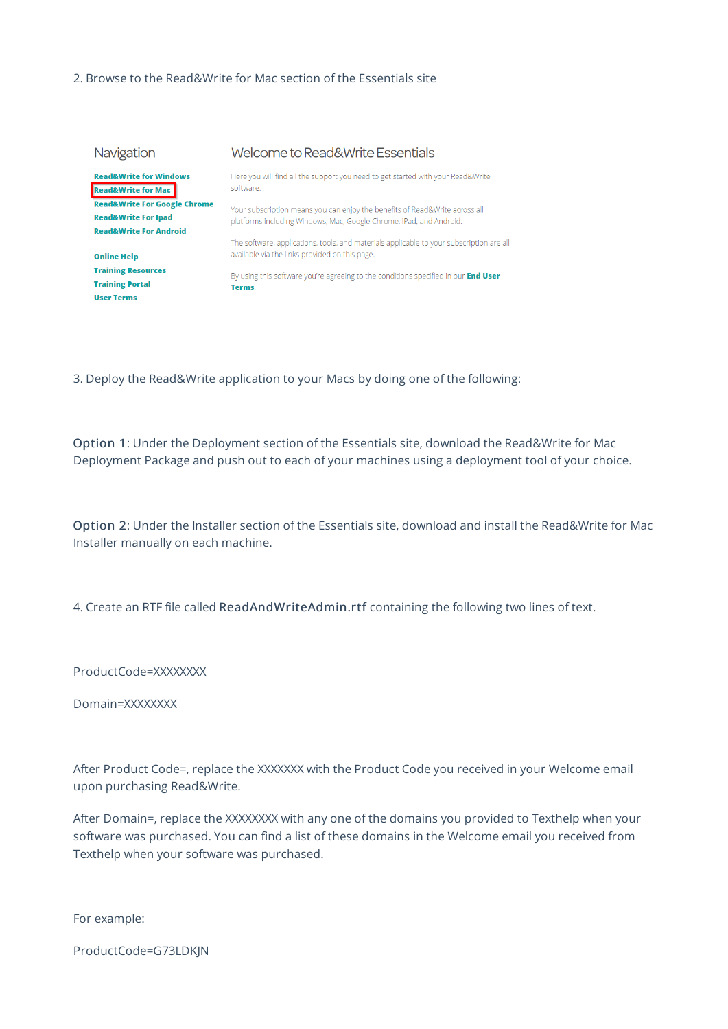### 2. Browse to the Read&Write for Mac section of the Essentials site

| Navigation                                                                                                     | Welcome to Read&Write Essentials                                                                                                                   |
|----------------------------------------------------------------------------------------------------------------|----------------------------------------------------------------------------------------------------------------------------------------------------|
| <b>Read&amp;Write for Windows</b><br><b>Read&amp;Write for Mac</b>                                             | Here you will find all the support you need to get started with your Read&Write<br>software.                                                       |
| <b>Read&amp;Write For Google Chrome</b><br><b>Read&amp;Write For Ipad</b><br><b>Read&amp;Write For Android</b> | Your subscription means you can enjoy the benefits of Read&Write across all<br>platforms including Windows, Mac, Google Chrome, iPad, and Android. |
| <b>Online Help</b>                                                                                             | The software, applications, tools, and materials applicable to your subscription are al<br>available via the links provided on this page.          |
| <b>Training Resources</b><br><b>Training Portal</b><br><b>User Terms</b>                                       | By using this software you're agreeing to the conditions specified in our <b>End User</b><br>Terms.                                                |

3. Deploy the Read&Write application to your Macs by doing one of the following:

Option 1: Under the Deployment section of the Essentials site, download the Read&Write for Mac Deployment Package and push out to each of your machines using a deployment tool of your choice.

Option 2: Under the Installer section of the Essentials site, download and install the Read&Write for Mac Installer manually on each machine.

4. Create an RTF file called ReadAndWriteAdmin.rtf containing the following two lines of text.

ProductCode=XXXXXXXX

Domain=XXXXXXXX

After Product Code=, replace the XXXXXXX with the Product Code you received in your Welcome email upon purchasing Read&Write.

After Domain=, replace the XXXXXXXX with any one of the domains you provided to Texthelp when your software was purchased. You can find a list of these domains in the Welcome email you received from Texthelp when your software was purchased.

For example:

ProductCode=G73LDKJN